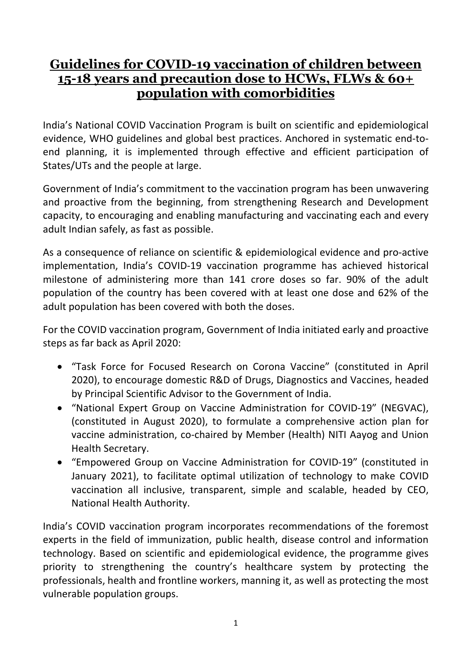## **Guidelines for COVID-19 vaccination of children between 15-18 years and precaution dose to HCWs, FLWs & 60+ population with comorbidities**

India's National COVID Vaccination Program is built on scientific and epidemiological evidence, WHO guidelines and global best practices. Anchored in systematic end-toend planning, it is implemented through effective and efficient participation of States/UTs and the people at large.

Government of India's commitment to the vaccination program has been unwavering and proactive from the beginning, from strengthening Research and Development capacity, to encouraging and enabling manufacturing and vaccinating each and every adult Indian safely, as fast as possible.

As a consequence of reliance on scientific & epidemiological evidence and pro-active implementation, India's COVID-19 vaccination programme has achieved historical milestone of administering more than 141 crore doses so far. 90% of the adult population of the country has been covered with at least one dose and 62% of the adult population has been covered with both the doses.

For the COVID vaccination program, Government of India initiated early and proactive steps as far back as April 2020:

- "Task Force for Focused Research on Corona Vaccine" (constituted in April 2020), to encourage domestic R&D of Drugs, Diagnostics and Vaccines, headed by Principal Scientific Advisor to the Government of India.
- "National Expert Group on Vaccine Administration for COVID-19" (NEGVAC), (constituted in August 2020), to formulate a comprehensive action plan for vaccine administration, co-chaired by Member (Health) NITI Aayog and Union Health Secretary.
- "Empowered Group on Vaccine Administration for COVID-19" (constituted in January 2021), to facilitate optimal utilization of technology to make COVID vaccination all inclusive, transparent, simple and scalable, headed by CEO, National Health Authority.

India's COVID vaccination program incorporates recommendations of the foremost experts in the field of immunization, public health, disease control and information technology. Based on scientific and epidemiological evidence, the programme gives priority to strengthening the country's healthcare system by protecting the professionals, health and frontline workers, manning it, as well as protecting the most vulnerable population groups.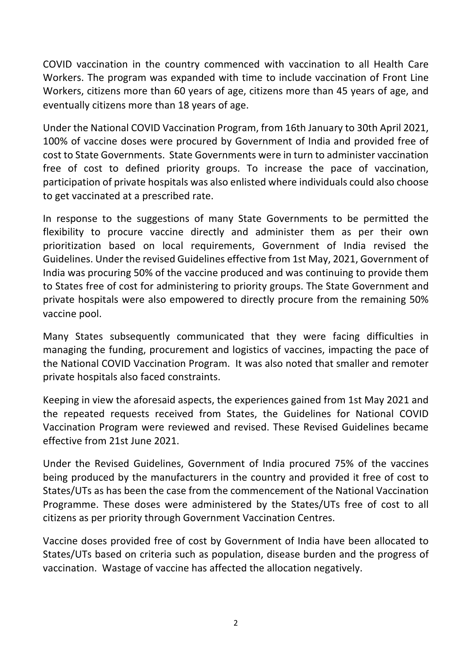COVID vaccination in the country commenced with vaccination to all Health Care Workers. The program was expanded with time to include vaccination of Front Line Workers, citizens more than 60 years of age, citizens more than 45 years of age, and eventually citizens more than 18 years of age.

Under the National COVID Vaccination Program, from 16th January to 30th April 2021, 100% of vaccine doses were procured by Government of India and provided free of cost to State Governments. State Governments were in turn to administer vaccination free of cost to defined priority groups. To increase the pace of vaccination, participation of private hospitals was also enlisted where individuals could also choose to get vaccinated at a prescribed rate.

In response to the suggestions of many State Governments to be permitted the flexibility to procure vaccine directly and administer them as per their own prioritization based on local requirements, Government of India revised the Guidelines. Under the revised Guidelines effective from 1st May, 2021, Government of India was procuring 50% of the vaccine produced and was continuing to provide them to States free of cost for administering to priority groups. The State Government and private hospitals were also empowered to directly procure from the remaining 50% vaccine pool.

Many States subsequently communicated that they were facing difficulties in managing the funding, procurement and logistics of vaccines, impacting the pace of the National COVID Vaccination Program. It was also noted that smaller and remoter private hospitals also faced constraints.

Keeping in view the aforesaid aspects, the experiences gained from 1st May 2021 and the repeated requests received from States, the Guidelines for National COVID Vaccination Program were reviewed and revised. These Revised Guidelines became effective from 21st June 2021.

Under the Revised Guidelines, Government of India procured 75% of the vaccines being produced by the manufacturers in the country and provided it free of cost to States/UTs as has been the case from the commencement of the National Vaccination Programme. These doses were administered by the States/UTs free of cost to all citizens as per priority through Government Vaccination Centres.

Vaccine doses provided free of cost by Government of India have been allocated to States/UTs based on criteria such as population, disease burden and the progress of vaccination. Wastage of vaccine has affected the allocation negatively.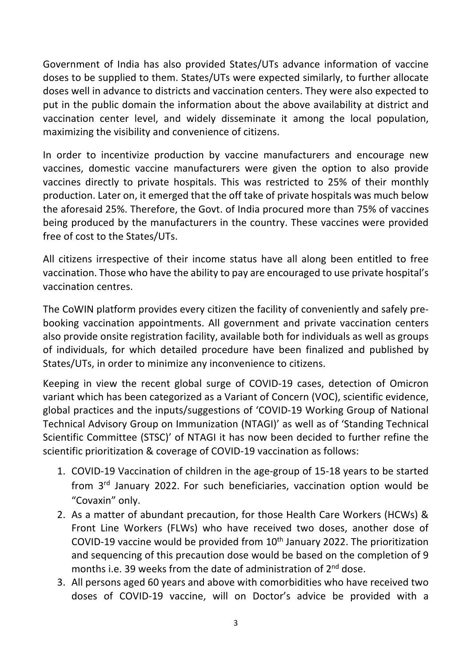Government of India has also provided States/UTs advance information of vaccine doses to be supplied to them. States/UTs were expected similarly, to further allocate doses well in advance to districts and vaccination centers. They were also expected to put in the public domain the information about the above availability at district and vaccination center level, and widely disseminate it among the local population, maximizing the visibility and convenience of citizens.

In order to incentivize production by vaccine manufacturers and encourage new vaccines, domestic vaccine manufacturers were given the option to also provide vaccines directly to private hospitals. This was restricted to 25% of their monthly production. Later on, it emerged that the off take of private hospitals was much below the aforesaid 25%. Therefore, the Govt. of India procured more than 75% of vaccines being produced by the manufacturers in the country. These vaccines were provided free of cost to the States/UTs.

All citizens irrespective of their income status have all along been entitled to free vaccination. Those who have the ability to pay are encouraged to use private hospital's vaccination centres.

The CoWIN platform provides every citizen the facility of conveniently and safely prebooking vaccination appointments. All government and private vaccination centers also provide onsite registration facility, available both for individuals as well as groups of individuals, for which detailed procedure have been finalized and published by States/UTs, in order to minimize any inconvenience to citizens.

Keeping in view the recent global surge of COVID-19 cases, detection of Omicron variant which has been categorized as a Variant of Concern (VOC), scientific evidence, global practices and the inputs/suggestions of 'COVID-19 Working Group of National Technical Advisory Group on Immunization (NTAGI)' as well as of 'Standing Technical Scientific Committee (STSC)' of NTAGI it has now been decided to further refine the scientific prioritization & coverage of COVID-19 vaccination as follows:

- 1. COVID-19 Vaccination of children in the age-group of 15-18 years to be started from 3<sup>rd</sup> January 2022. For such beneficiaries, vaccination option would be "Covaxin" only.
- 2. As a matter of abundant precaution, for those Health Care Workers (HCWs) & Front Line Workers (FLWs) who have received two doses, another dose of COVID-19 vaccine would be provided from  $10<sup>th</sup>$  January 2022. The prioritization and sequencing of this precaution dose would be based on the completion of 9 months i.e. 39 weeks from the date of administration of  $2^{nd}$  dose.
- 3. All persons aged 60 years and above with comorbidities who have received two doses of COVID-19 vaccine, will on Doctor's advice be provided with a